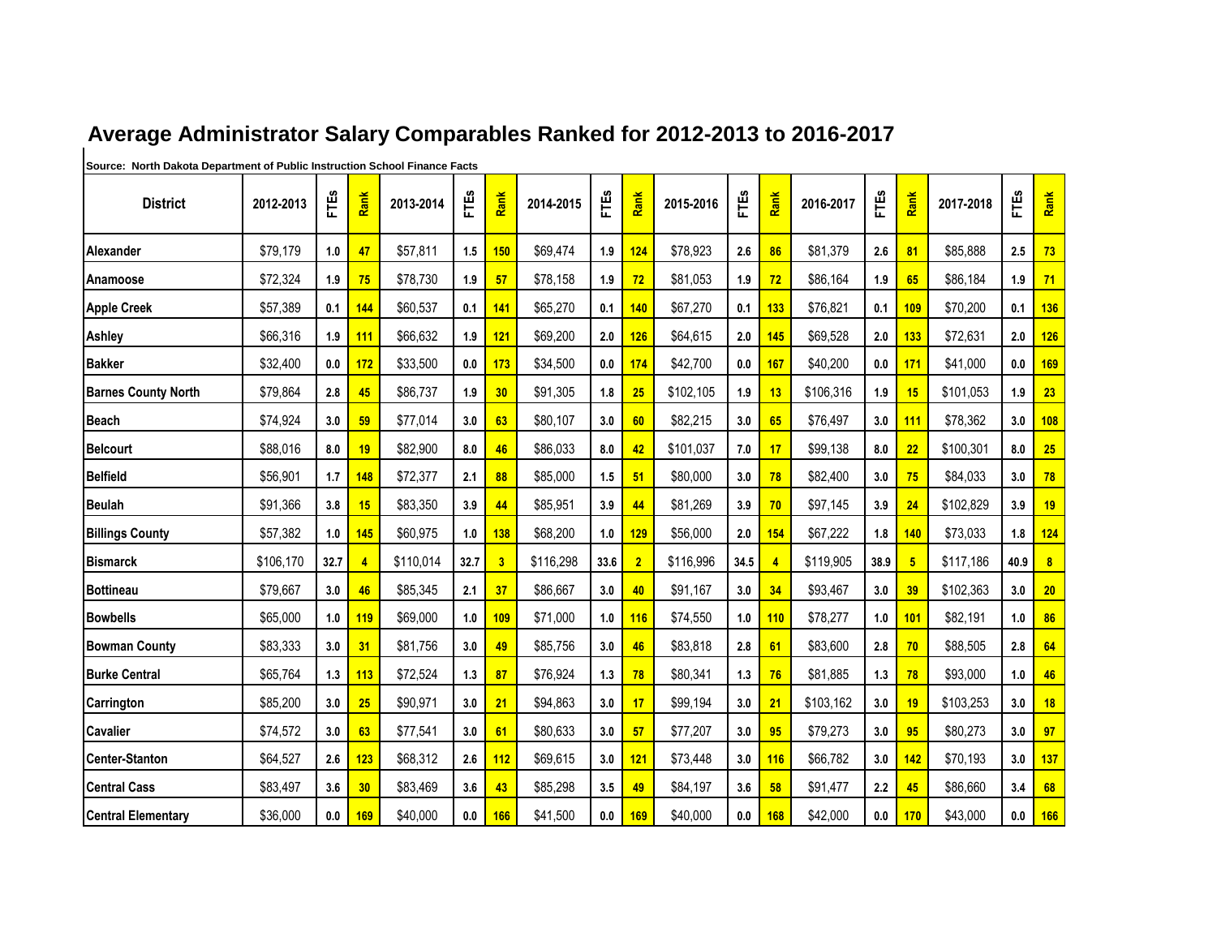| <b>District</b>            | 2012-2013 | FTES | Rank           | 2013-2014 | FTES | Rank                    | 2014-2015 | FTES | Rank           | 2015-2016 | FTES | Rank | 2016-2017 | FTES | Rank           | 2017-2018 | FTEs | Rank             |
|----------------------------|-----------|------|----------------|-----------|------|-------------------------|-----------|------|----------------|-----------|------|------|-----------|------|----------------|-----------|------|------------------|
|                            |           |      |                |           |      |                         |           |      |                |           |      |      |           |      |                |           |      |                  |
| Alexander                  | \$79,179  | 1.0  | 47             | \$57,811  | 1.5  | 150                     | \$69,474  | 1.9  | 124            | \$78,923  | 2.6  | 86   | \$81,379  | 2.6  | 81             | \$85,888  | 2.5  | 73               |
| Anamoose                   | \$72,324  | 1.9  | 75             | \$78,730  | 1.9  | 57                      | \$78,158  | 1.9  | 72             | \$81,053  | 1.9  | 72   | \$86,164  | 1.9  | 65             | \$86,184  | 1.9  | 71               |
| <b>Apple Creek</b>         | \$57,389  | 0.1  | 144            | \$60,537  | 0.1  | 141                     | \$65,270  | 0.1  | 140            | \$67,270  | 0.1  | 133  | \$76,821  | 0.1  | 109            | \$70,200  | 0.1  | 136              |
| Ashley                     | \$66,316  | 1.9  | 111            | \$66,632  | 1.9  | 121                     | \$69,200  | 2.0  | 126            | \$64,615  | 2.0  | 145  | \$69,528  | 2.0  | 133            | \$72,631  | 2.0  | 126              |
| <b>Bakker</b>              | \$32,400  | 0.0  | 172            | \$33,500  | 0.0  | 173                     | \$34,500  | 0.0  | 174            | \$42,700  | 0.0  | 167  | \$40,200  | 0.0  | 171            | \$41,000  | 0.0  | 169              |
| <b>Barnes County North</b> | \$79,864  | 2.8  | 45             | \$86,737  | 1.9  | 30                      | \$91,305  | 1.8  | 25             | \$102,105 | 1.9  | 13   | \$106,316 | 1.9  | 15             | \$101,053 | 1.9  | 23               |
| Beach                      | \$74,924  | 3.0  | 59             | \$77,014  | 3.0  | 63                      | \$80,107  | 3.0  | 60             | \$82,215  | 3.0  | 65   | \$76,497  | 3.0  | 111            | \$78,362  | 3.0  | <b>108</b>       |
| <b>Belcourt</b>            | \$88,016  | 8.0  | 19             | \$82,900  | 8.0  | 46                      | \$86,033  | 8.0  | 42             | \$101,037 | 7.0  | 17   | \$99,138  | 8.0  | 22             | \$100,301 | 8.0  | 25               |
| <b>Belfield</b>            | \$56,901  | 1.7  | 148            | \$72,377  | 2.1  | 88                      | \$85,000  | 1.5  | 51             | \$80,000  | 3.0  | 78   | \$82,400  | 3.0  | 75             | \$84,033  | 3.0  | 78               |
| <b>Beulah</b>              | \$91,366  | 3.8  | 15             | \$83,350  | 3.9  | 44                      | \$85,951  | 3.9  | 44             | \$81,269  | 3.9  | 70   | \$97,145  | 3.9  | 24             | \$102,829 | 3.9  | 19               |
| <b>Billings County</b>     | \$57,382  | 1.0  | 145            | \$60,975  | 1.0  | 138                     | \$68,200  | 1.0  | 129            | \$56,000  | 2.0  | 154  | \$67,222  | 1.8  | 140            | \$73,033  | 1.8  | 124              |
| <b>Bismarck</b>            | \$106,170 | 32.7 | $\overline{4}$ | \$110,014 | 32.7 | $\overline{\mathbf{3}}$ | \$116,298 | 33.6 | $\overline{2}$ | \$116,996 | 34.5 |      | \$119,905 | 38.9 | 5 <sub>5</sub> | \$117,186 | 40.9 | $\boldsymbol{8}$ |
| <b>Bottineau</b>           | \$79,667  | 3.0  | 46             | \$85,345  | 2.1  | 37                      | \$86,667  | 3.0  | 40             | \$91,167  | 3.0  | 34   | \$93,467  | 3.0  | 39             | \$102,363 | 3.0  | 20               |
| <b>Bowbells</b>            | \$65,000  | 1.0  | 119            | \$69,000  | 1.0  | 109                     | \$71,000  | 1.0  | 116            | \$74,550  | 1.0  | 110  | \$78,277  | 1.0  | 101            | \$82,191  | 1.0  | 86               |
| <b>Bowman County</b>       | \$83,333  | 3.0  | 31             | \$81,756  | 3.0  | 49                      | \$85,756  | 3.0  | 46             | \$83,818  | 2.8  | 61   | \$83,600  | 2.8  | 70             | \$88,505  | 2.8  | 64               |
| <b>Burke Central</b>       | \$65,764  | 1.3  | 113            | \$72,524  | 1.3  | 87                      | \$76,924  | 1.3  | 78             | \$80,341  | 1.3  | 76   | \$81,885  | 1.3  | 78             | \$93,000  | 1.0  | 46               |
| Carrington                 | \$85,200  | 3.0  | 25             | \$90,971  | 3.0  | 21                      | \$94,863  | 3.0  | 17             | \$99,194  | 3.0  | 21   | \$103,162 | 3.0  | 19             | \$103,253 | 3.0  | 18               |
| <b>Cavalier</b>            | \$74,572  | 3.0  | 63             | \$77,541  | 3.0  | 61                      | \$80,633  | 3.0  | 57             | \$77,207  | 3.0  | 95   | \$79,273  | 3.0  | 95             | \$80,273  | 3.0  | 97               |
| <b>Center-Stanton</b>      | \$64,527  | 2.6  | 123            | \$68,312  | 2.6  | 112                     | \$69,615  | 3.0  | 121            | \$73,448  | 3.0  | 116  | \$66,782  | 3.0  | 142            | \$70,193  | 3.0  | 137              |
| <b>Central Cass</b>        | \$83,497  | 3.6  | 30             | \$83,469  | 3.6  | 43                      | \$85,298  | 3.5  | 49             | \$84,197  | 3.6  | 58   | \$91,477  | 2.2  | 45             | \$86,660  | 3.4  | 68               |
| <b>Central Elementary</b>  | \$36,000  | 0.0  | 169            | \$40,000  | 0.0  | 166                     | \$41,500  | 0.0  | 169            | \$40,000  | 0.0  | 168  | \$42,000  | 0.0  | 170            | \$43,000  | 0.0  | 166              |

## **Average Administrator Salary Comparables Ranked for 2012-2013 to 2016-2017**

**Source: North Dakota Department of Public Instruction School Finance Facts**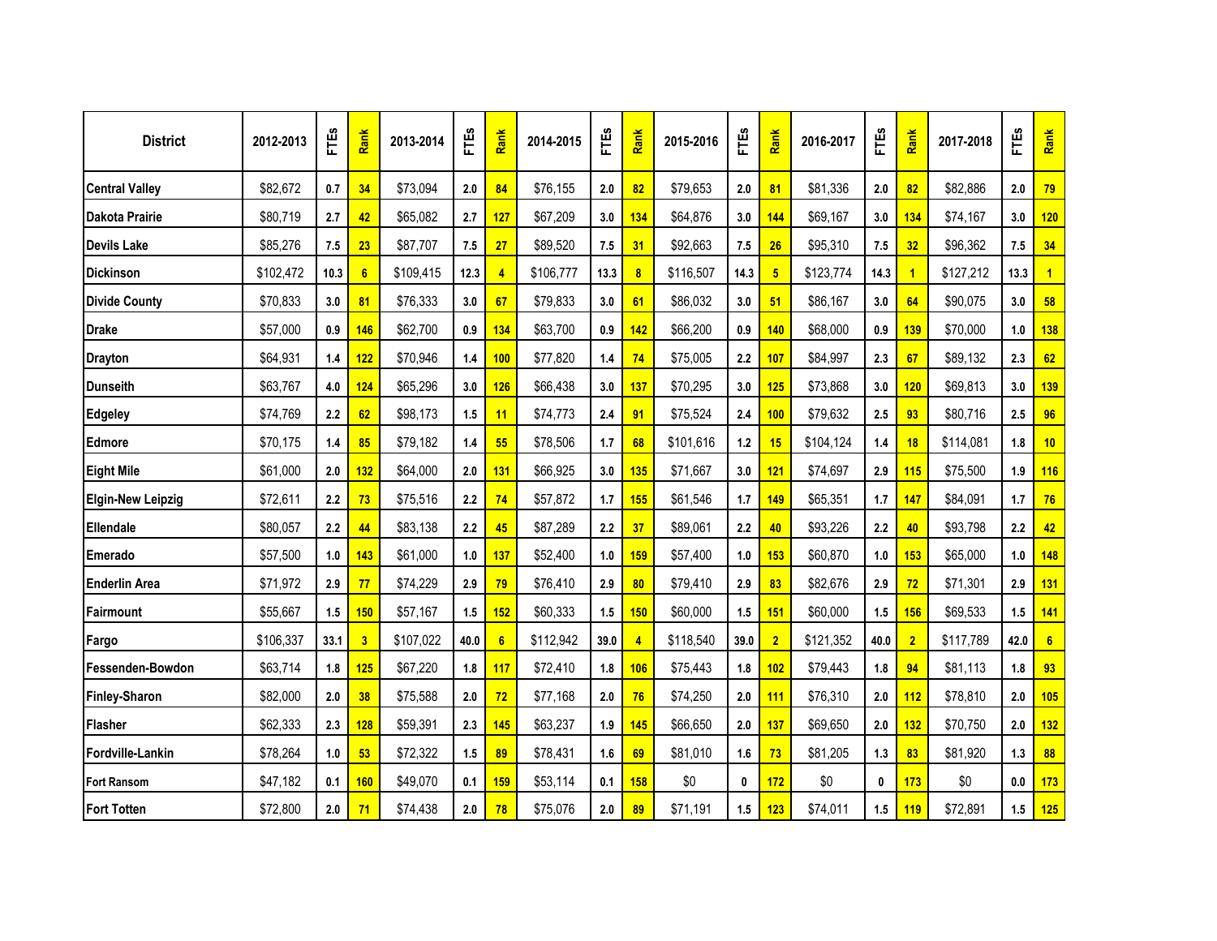| <b>District</b>          | 2012-2013 | FTES  | Rank                    | 2013-2014 | FTES | Rank       | 2014-2015 | FTES | Rank             | 2015-2016 | FTES  | Rank            | 2016-2017 | FTES     | Rank           | 2017-2018 | FTES | Rank         |
|--------------------------|-----------|-------|-------------------------|-----------|------|------------|-----------|------|------------------|-----------|-------|-----------------|-----------|----------|----------------|-----------|------|--------------|
| <b>Central Valley</b>    | \$82,672  | 0.7   | 34                      | \$73,094  | 2.0  | 84         | \$76,155  | 2.0  | 82               | \$79,653  | 2.0   | 81              | \$81,336  | 2.0      | 82             | \$82,886  | 2.0  | 79           |
| Dakota Prairie           | \$80,719  | 2.7   | 42                      | \$65,082  | 2.7  | 127        | \$67,209  | 3.0  | 134              | \$64,876  | 3.0   | 144             | \$69,167  | 3.0      | 134            | \$74,167  | 3.0  | 120          |
| <b>Devils Lake</b>       | \$85,276  | 7.5   | 23                      | \$87,707  | 7.5  | 27         | \$89,520  | 7.5  | 31               | \$92,663  | 7.5   | 26              | \$95,310  | 7.5      | 32             | \$96,362  | 7.5  | 34           |
| <b>Dickinson</b>         | \$102,472 | 10.3  | 6                       | \$109,415 | 12.3 | 4          | \$106,777 | 13.3 | $\boldsymbol{8}$ | \$116,507 | 14.3  | $5\phantom{.0}$ | \$123,774 | 14.3     | $\overline{1}$ | \$127,212 | 13.3 | $\mathbf{1}$ |
| <b>Divide County</b>     | \$70,833  | 3.0   | 81                      | \$76,333  | 3.0  | 67         | \$79,833  | 3.0  | 61               | \$86,032  | 3.0   | 51              | \$86,167  | 3.0      | 64             | \$90,075  | 3.0  | 58           |
| <b>Drake</b>             | \$57,000  | 0.9   | 146                     | \$62,700  | 0.9  | 134        | \$63,700  | 0.9  | 142              | \$66,200  | 0.9   | 140             | \$68,000  | 0.9      | 139            | \$70,000  | 1.0  | 138          |
| <b>Drayton</b>           | \$64,931  | 1.4   | 122                     | \$70,946  | 1.4  | 100        | \$77,820  | 1.4  | 74               | \$75,005  | 2.2   | 107             | \$84,997  | 2.3      | 67             | \$89,132  | 2.3  | 62           |
| <b>Dunseith</b>          | \$63,767  | 4.0   | 124                     | \$65,296  | 3.0  | <b>126</b> | \$66,438  | 3.0  | 137              | \$70,295  | 3.0   | 125             | \$73,868  | 3.0      | 120            | \$69,813  | 3.0  | 139          |
| <b>Edgeley</b>           | \$74,769  | 2.2   | 62                      | \$98,173  | 1.5  | 11         | \$74,773  | 2.4  | 91               | \$75,524  | 2.4   | 100             | \$79,632  | 2.5      | 93             | \$80,716  | 2.5  | 96           |
| Edmore                   | \$70,175  | $1.4$ | 85                      | \$79,182  | 1.4  | 55         | \$78,506  | 1.7  | 68               | \$101,616 | $1.2$ | 15              | \$104,124 | 1.4      | 18             | \$114,081 | 1.8  | 10           |
| <b>Eight Mile</b>        | \$61,000  | 2.0   | 132                     | \$64,000  | 2.0  | 131        | \$66,925  | 3.0  | 135              | \$71,667  | 3.0   | 121             | \$74,697  | 2.9      | 115            | \$75,500  | 1.9  | <b>116</b>   |
| <b>Elgin-New Leipzig</b> | \$72,611  | 2.2   | 73                      | \$75,516  | 2.2  | 74         | \$57,872  | 1.7  | 155              | \$61,546  | 1.7   | 149             | \$65,351  | 1.7      | 147            | \$84,091  | 1.7  | 76           |
| Ellendale                | \$80,057  | 2.2   | 44                      | \$83,138  | 2.2  | 45         | \$87,289  | 2.2  | 37               | \$89,061  | 2.2   | 40              | \$93,226  | 2.2      | 40             | \$93,798  | 2.2  | 42           |
| Emerado                  | \$57,500  | 1.0   | 143                     | \$61,000  | 1.0  | 137        | \$52,400  | 1.0  | 159              | \$57,400  | 1.0   | 153             | \$60,870  | 1.0      | 153            | \$65,000  | 1.0  | 148          |
| <b>Enderlin Area</b>     | \$71,972  | 2.9   | 77                      | \$74,229  | 2.9  | 79         | \$76,410  | 2.9  | 80               | \$79,410  | 2.9   | 83              | \$82,676  | 2.9      | 72             | \$71,301  | 2.9  | 131          |
| Fairmount                | \$55,667  | 1.5   | <b>150</b>              | \$57,167  | 1.5  | 152        | \$60,333  | 1.5  | 150              | \$60,000  | $1.5$ | 151             | \$60,000  | 1.5      | 156            | \$69,533  | 1.5  | 141          |
| Fargo                    | \$106,337 | 33.1  | $\overline{\mathbf{3}}$ | \$107,022 | 40.0 | 6          | \$112,942 | 39.0 | 4                | \$118,540 | 39.0  | $\overline{2}$  | \$121,352 | 40.0     | $\overline{2}$ | \$117,789 | 42.0 | 6            |
| Fessenden-Bowdon         | \$63,714  | 1.8   | 125                     | \$67,220  | 1.8  | <b>117</b> | \$72,410  | 1.8  | 106              | \$75,443  | 1.8   | 102             | \$79,443  | 1.8      | 94             | \$81,113  | 1.8  | 93           |
| Finley-Sharon            | \$82,000  | 2.0   | 38                      | \$75,588  | 2.0  | 72         | \$77,168  | 2.0  | 76               | \$74,250  | 2.0   | 111             | \$76,310  | 2.0      | 112            | \$78,810  | 2.0  | 105          |
| Flasher                  | \$62,333  | 2.3   | <b>128</b>              | \$59,391  | 2.3  | 145        | \$63,237  | 1.9  | 145              | \$66,650  | 2.0   | 137             | \$69,650  | 2.0      | 132            | \$70,750  | 2.0  | 132          |
| Fordville-Lankin         | \$78,264  | 1.0   | 53                      | \$72,322  | 1.5  | 89         | \$78,431  | 1.6  | 69               | \$81,010  | 1.6   | 73              | \$81,205  | 1.3      | 83             | \$81,920  | 1.3  | 88           |
| <b>Fort Ransom</b>       | \$47,182  | 0.1   | <b>160</b>              | \$49,070  | 0.1  | 159        | \$53,114  | 0.1  | 158              | \$0       | 0     | 172             | \$0       | $\bf{0}$ | 173            | \$0       | 0.0  | 173          |
| <b>Fort Totten</b>       | \$72,800  | 2.0   | 71                      | \$74,438  | 2.0  | 78         | \$75,076  | 2.0  | 89               | \$71,191  | 1.5   | 123             | \$74,011  | 1.5      | 119            | \$72,891  | 1.5  | 125          |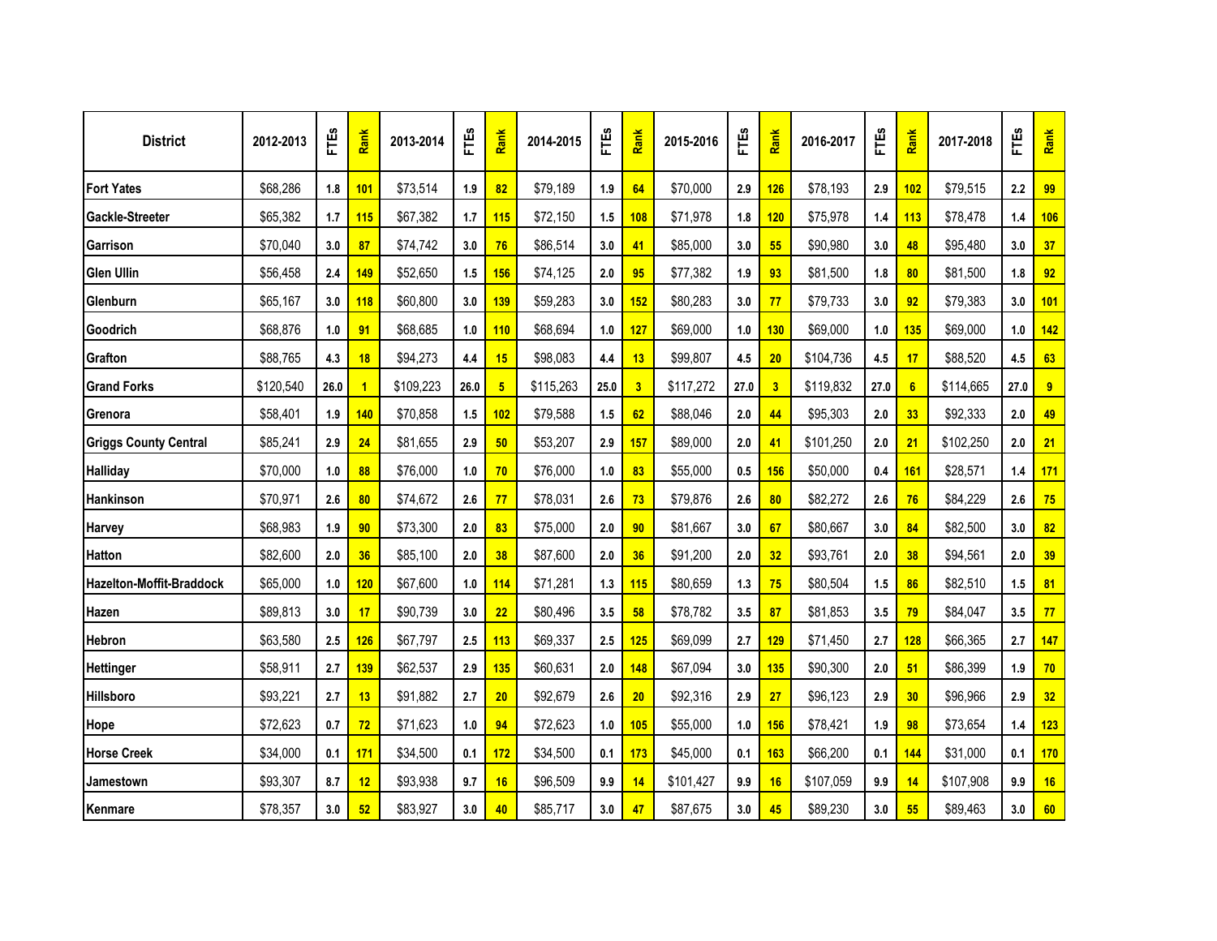| <b>District</b>                 | 2012-2013 | FTES | Rank           | 2013-2014 | FTES | Rank           | 2014-2015 | FTES | Rank                    | 2015-2016 | FTES | Rank       | 2016-2017 | FTEs    | Rank       | 2017-2018 | FTES | Rank       |
|---------------------------------|-----------|------|----------------|-----------|------|----------------|-----------|------|-------------------------|-----------|------|------------|-----------|---------|------------|-----------|------|------------|
| <b>Fort Yates</b>               | \$68,286  | 1.8  | 101            | \$73,514  | 1.9  | 82             | \$79,189  | 1.9  | 64                      | \$70,000  | 2.9  | 126        | \$78,193  | 2.9     | 102        | \$79,515  | 2.2  | 99         |
| Gackle-Streeter                 | \$65,382  | 1.7  | 115            | \$67,382  | 1.7  | 115            | \$72,150  | 1.5  | 108                     | \$71,978  | 1.8  | 120        | \$75,978  | 1.4     | 113        | \$78,478  | 1.4  | 106        |
| Garrison                        | \$70,040  | 3.0  | 87             | \$74,742  | 3.0  | 76             | \$86,514  | 3.0  | 41                      | \$85,000  | 3.0  | 55         | \$90,980  | 3.0     | 48         | \$95,480  | 3.0  | 37         |
| <b>Glen Ullin</b>               | \$56,458  | 2.4  | 149            | \$52,650  | 1.5  | 156            | \$74,125  | 2.0  | 95                      | \$77,382  | 1.9  | 93         | \$81,500  | 1.8     | 80         | \$81,500  | 1.8  | 92         |
| Glenburn                        | \$65,167  | 3.0  | <b>118</b>     | \$60,800  | 3.0  | 139            | \$59,283  | 3.0  | 152                     | \$80,283  | 3.0  | 77         | \$79,733  | 3.0     | 92         | \$79,383  | 3.0  | 101        |
| Goodrich                        | \$68,876  | 1.0  | 91             | \$68,685  | 1.0  | 110            | \$68,694  | 1.0  | 127                     | \$69,000  | 1.0  | 130        | \$69,000  | 1.0     | 135        | \$69,000  | 1.0  | 142        |
| Grafton                         | \$88,765  | 4.3  | 18             | \$94,273  | 4.4  | 15             | \$98,083  | 4.4  | 13                      | \$99,807  | 4.5  | 20         | \$104,736 | 4.5     | 17         | \$88,520  | 4.5  | 63         |
| <b>Grand Forks</b>              | \$120,540 | 26.0 | $\overline{1}$ | \$109,223 | 26.0 | 5 <sub>5</sub> | \$115,263 | 25.0 | $\overline{\mathbf{3}}$ | \$117,272 | 27.0 | 3          | \$119,832 | 27.0    | 6          | \$114,665 | 27.0 | 9          |
| Grenora                         | \$58,401  | 1.9  | 140            | \$70,858  | 1.5  | 102            | \$79,588  | 1.5  | 62                      | \$88,046  | 2.0  | 44         | \$95,303  | 2.0     | 33         | \$92,333  | 2.0  | 49         |
| <b>Griggs County Central</b>    | \$85,241  | 2.9  | 24             | \$81,655  | 2.9  | 50             | \$53,207  | 2.9  | 157                     | \$89,000  | 2.0  | 41         | \$101,250 | 2.0     | 21         | \$102,250 | 2.0  | 21         |
| <b>Halliday</b>                 | \$70,000  | 1.0  | 88             | \$76,000  | 1.0  | 70             | \$76,000  | 1.0  | 83                      | \$55,000  | 0.5  | <b>156</b> | \$50,000  | 0.4     | <b>161</b> | \$28,571  | 1.4  | <b>171</b> |
| Hankinson                       | \$70,971  | 2.6  | 80             | \$74,672  | 2.6  | 77             | \$78,031  | 2.6  | 73                      | \$79,876  | 2.6  | 80         | \$82,272  | 2.6     | 76         | \$84,229  | 2.6  | 75         |
| <b>Harvey</b>                   | \$68,983  | 1.9  | 90             | \$73,300  | 2.0  | 83             | \$75,000  | 2.0  | 90                      | \$81,667  | 3.0  | 67         | \$80,667  | 3.0     | 84         | \$82,500  | 3.0  | 82         |
| <b>Hatton</b>                   | \$82,600  | 2.0  | 36             | \$85,100  | 2.0  | 38             | \$87,600  | 2.0  | 36                      | \$91,200  | 2.0  | 32         | \$93,761  | $2.0\,$ | 38         | \$94,561  | 2.0  | 39         |
| <b>Hazelton-Moffit-Braddock</b> | \$65,000  | 1.0  | 120            | \$67,600  | 1.0  | 114            | \$71,281  | 1.3  | 115                     | \$80,659  | 1.3  | 75         | \$80,504  | 1.5     | 86         | \$82,510  | 1.5  | 81         |
| Hazen                           | \$89,813  | 3.0  | 17             | \$90,739  | 3.0  | 22             | \$80,496  | 3.5  | 58                      | \$78,782  | 3.5  | 87         | \$81,853  | 3.5     | 79         | \$84,047  | 3.5  | 77         |
| Hebron                          | \$63,580  | 2.5  | 126            | \$67,797  | 2.5  | 113            | \$69,337  | 2.5  | 125                     | \$69,099  | 2.7  | 129        | \$71,450  | 2.7     | 128        | \$66,365  | 2.7  | 147        |
| <b>Hettinger</b>                | \$58,911  | 2.7  | 139            | \$62,537  | 2.9  | 135            | \$60,631  | 2.0  | 148                     | \$67,094  | 3.0  | 135        | \$90,300  | 2.0     | 51         | \$86,399  | 1.9  | 70         |
| Hillsboro                       | \$93,221  | 2.7  | 13             | \$91,882  | 2.7  | 20             | \$92,679  | 2.6  | 20                      | \$92,316  | 2.9  | 27         | \$96,123  | 2.9     | 30         | \$96,966  | 2.9  | 32         |
| Hope                            | \$72,623  | 0.7  | 72             | \$71,623  | 1.0  | 94             | \$72,623  | 1.0  | <b>105</b>              | \$55,000  | 1.0  | 156        | \$78,421  | 1.9     | 98         | \$73,654  | 1.4  | 123        |
| <b>Horse Creek</b>              | \$34,000  | 0.1  | 171            | \$34,500  | 0.1  | 172            | \$34,500  | 0.1  | 173                     | \$45,000  | 0.1  | 163        | \$66,200  | 0.1     | 144        | \$31,000  | 0.1  | 170        |
| Jamestown                       | \$93,307  | 8.7  | 12             | \$93,938  | 9.7  | 16             | \$96,509  | 9.9  | 14                      | \$101,427 | 9.9  | 16         | \$107,059 | 9.9     | 14         | \$107,908 | 9.9  | 16         |
| Kenmare                         | \$78,357  | 3.0  | 52             | \$83,927  | 3.0  | 40             | \$85,717  | 3.0  | 47                      | \$87,675  | 3.0  | 45         | \$89,230  | 3.0     | 55         | \$89,463  | 3.0  | 60         |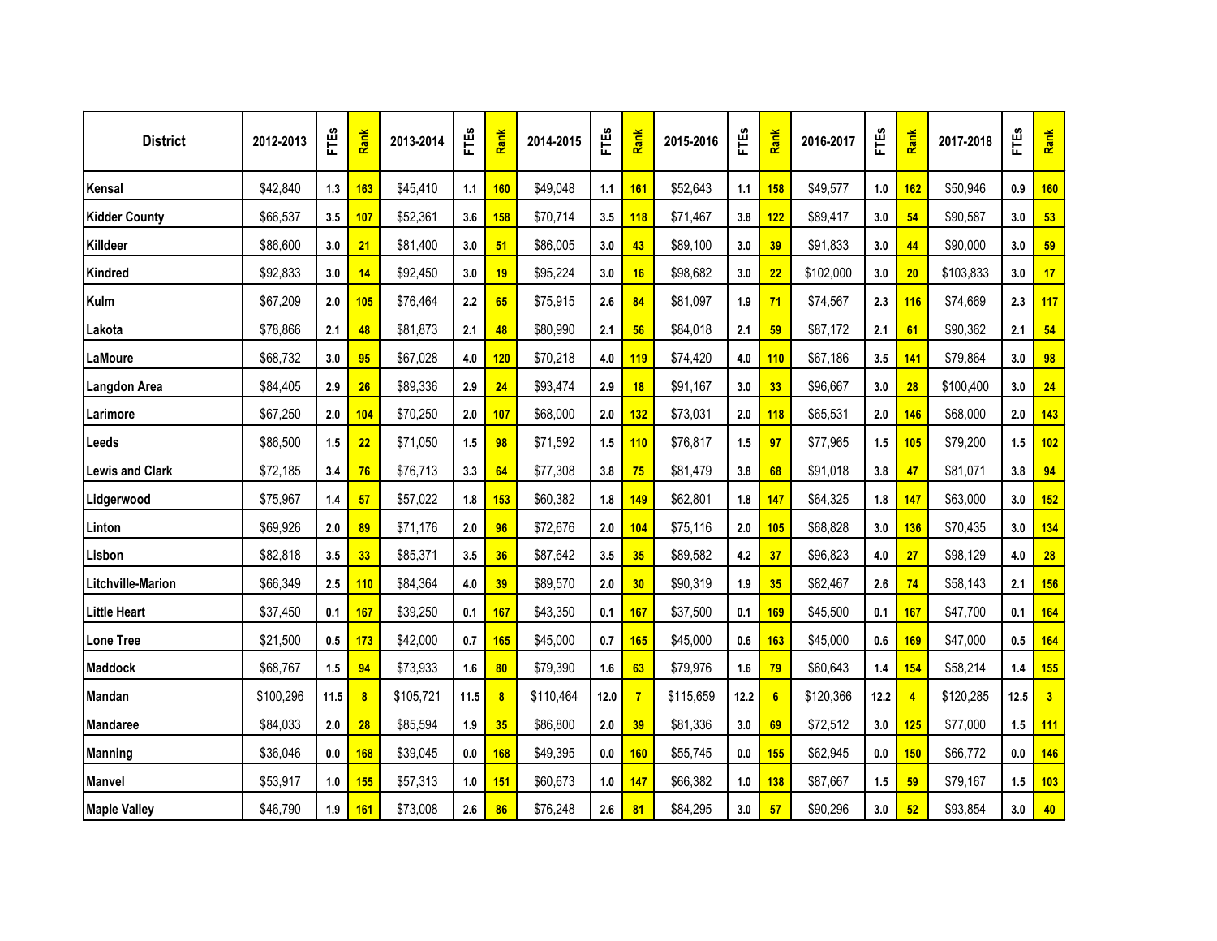| <b>District</b>        | 2012-2013 | FTES  | Rank       | 2013-2014 | <b>FTES</b> | Rank | 2014-2015 | FTES    | Rank           | 2015-2016 | FTES    | Rank       | 2016-2017 | FTES | Rank           | 2017-2018 | FTES | Rank           |
|------------------------|-----------|-------|------------|-----------|-------------|------|-----------|---------|----------------|-----------|---------|------------|-----------|------|----------------|-----------|------|----------------|
| Kensal                 | \$42,840  | 1.3   | 163        | \$45,410  | 1.1         | 160  | \$49,048  | 1.1     | 161            | \$52,643  | 1.1     | 158        | \$49,577  | 1.0  | 162            | \$50,946  | 0.9  | 160            |
| <b>Kidder County</b>   | \$66,537  | 3.5   | 107        | \$52,361  | 3.6         | 158  | \$70,714  | 3.5     | 118            | \$71,467  | 3.8     | 122        | \$89,417  | 3.0  | 54             | \$90,587  | 3.0  | 53             |
| Killdeer               | \$86,600  | 3.0   | 21         | \$81,400  | 3.0         | 51   | \$86,005  | 3.0     | 43             | \$89,100  | 3.0     | 39         | \$91,833  | 3.0  | 44             | \$90,000  | 3.0  | 59             |
| Kindred                | \$92,833  | 3.0   | 14         | \$92,450  | 3.0         | 19   | \$95,224  | 3.0     | 16             | \$98,682  | 3.0     | 22         | \$102,000 | 3.0  | 20             | \$103,833 | 3.0  | 17             |
| Kulm                   | \$67,209  | 2.0   | 105        | \$76,464  | 2.2         | 65   | \$75,915  | 2.6     | 84             | \$81,097  | 1.9     | 71         | \$74,567  | 2.3  | 116            | \$74,669  | 2.3  | 117            |
| Lakota                 | \$78,866  | 2.1   | 48         | \$81,873  | 2.1         | 48   | \$80,990  | 2.1     | 56             | \$84,018  | 2.1     | 59         | \$87,172  | 2.1  | 61             | \$90,362  | 2.1  | 54             |
| LaMoure                | \$68,732  | 3.0   | 95         | \$67,028  | 4.0         | 120  | \$70,218  | 4.0     | 119            | \$74,420  | 4.0     | 110        | \$67,186  | 3.5  | 141            | \$79,864  | 3.0  | 98             |
| <b>Langdon Area</b>    | \$84,405  | 2.9   | 26         | \$89,336  | 2.9         | 24   | \$93,474  | 2.9     | 18             | \$91,167  | 3.0     | 33         | \$96,667  | 3.0  | 28             | \$100,400 | 3.0  | 24             |
| Larimore               | \$67,250  | 2.0   | 104        | \$70,250  | 2.0         | 107  | \$68,000  | 2.0     | 132            | \$73,031  | 2.0     | <b>118</b> | \$65,531  | 2.0  | 146            | \$68,000  | 2.0  | 143            |
| Leeds                  | \$86,500  | 1.5   | 22         | \$71,050  | 1.5         | 98   | \$71,592  | 1.5     | 110            | \$76,817  | 1.5     | 97         | \$77,965  | 1.5  | 105            | \$79,200  | 1.5  | 102            |
| <b>Lewis and Clark</b> | \$72,185  | 3.4   | 76         | \$76,713  | 3.3         | 64   | \$77,308  | 3.8     | 75             | \$81,479  | 3.8     | 68         | \$91,018  | 3.8  | 47             | \$81,071  | 3.8  | 94             |
| Lidgerwood             | \$75,967  | $1.4$ | 57         | \$57,022  | 1.8         | 153  | \$60,382  | 1.8     | 149            | \$62,801  | 1.8     | 147        | \$64,325  | 1.8  | 147            | \$63,000  | 3.0  | 152            |
| Linton                 | \$69,926  | 2.0   | 89         | \$71,176  | 2.0         | 96   | \$72,676  | 2.0     | 104            | \$75,116  | 2.0     | 105        | \$68,828  | 3.0  | 136            | \$70,435  | 3.0  | 134            |
| Lisbon                 | \$82,818  | 3.5   | 33         | \$85,371  | 3.5         | 36   | \$87,642  | 3.5     | 35             | \$89,582  | 4.2     | 37         | \$96,823  | 4.0  | 27             | \$98,129  | 4.0  | 28             |
| Litchville-Marion      | \$66,349  | 2.5   | 110        | \$84,364  | 4.0         | 39   | \$89,570  | 2.0     | 30             | \$90,319  | 1.9     | 35         | \$82,467  | 2.6  | 74             | \$58,143  | 2.1  | 156            |
| <b>Little Heart</b>    | \$37,450  | 0.1   | 167        | \$39,250  | 0.1         | 167  | \$43,350  | 0.1     | 167            | \$37,500  | 0.1     | 169        | \$45,500  | 0.1  | 167            | \$47,700  | 0.1  | 164            |
| <b>Lone Tree</b>       | \$21,500  | 0.5   | 173        | \$42,000  | 0.7         | 165  | \$45,000  | 0.7     | 165            | \$45,000  | 0.6     | 163        | \$45,000  | 0.6  | 169            | \$47,000  | 0.5  | 164            |
| <b>Maddock</b>         | \$68,767  | 1.5   | 94         | \$73,933  | 1.6         | 80   | \$79,390  | 1.6     | 63             | \$79,976  | 1.6     | 79         | \$60,643  | 1.4  | 154            | \$58,214  | 1.4  | 155            |
| <b>Mandan</b>          | \$100,296 | 11.5  | 8          | \$105,721 | 11.5        | 8    | \$110,464 | 12.0    | $\overline{7}$ | \$115,659 | 12.2    | 6          | \$120,366 | 12.2 | $\overline{4}$ | \$120,285 | 12.5 | 3 <sup>2</sup> |
| <b>Mandaree</b>        | \$84,033  | 2.0   | 28         | \$85,594  | 1.9         | 35   | \$86,800  | 2.0     | 39             | \$81,336  | 3.0     | 69         | \$72,512  | 3.0  | 125            | \$77,000  | 1.5  | 111            |
| <b>Manning</b>         | \$36,046  | 0.0   | 168        | \$39,045  | 0.0         | 168  | \$49,395  | 0.0     | 160            | \$55,745  | $0.0\,$ | 155        | \$62,945  | 0.0  | 150            | \$66,772  | 0.0  | 146            |
| <b>Manvel</b>          | \$53,917  | 1.0   | <b>155</b> | \$57,313  | 1.0         | 151  | \$60,673  | $1.0\,$ | 147            | \$66,382  | $1.0\,$ | 138        | \$87,667  | 1.5  | 59             | \$79,167  | 1.5  | 103            |
| <b>Maple Valley</b>    | \$46,790  | 1.9   | 161        | \$73,008  | 2.6         | 86   | \$76,248  | 2.6     | 81             | \$84,295  | 3.0     | 57         | \$90,296  | 3.0  | 52             | \$93,854  | 3.0  | 40             |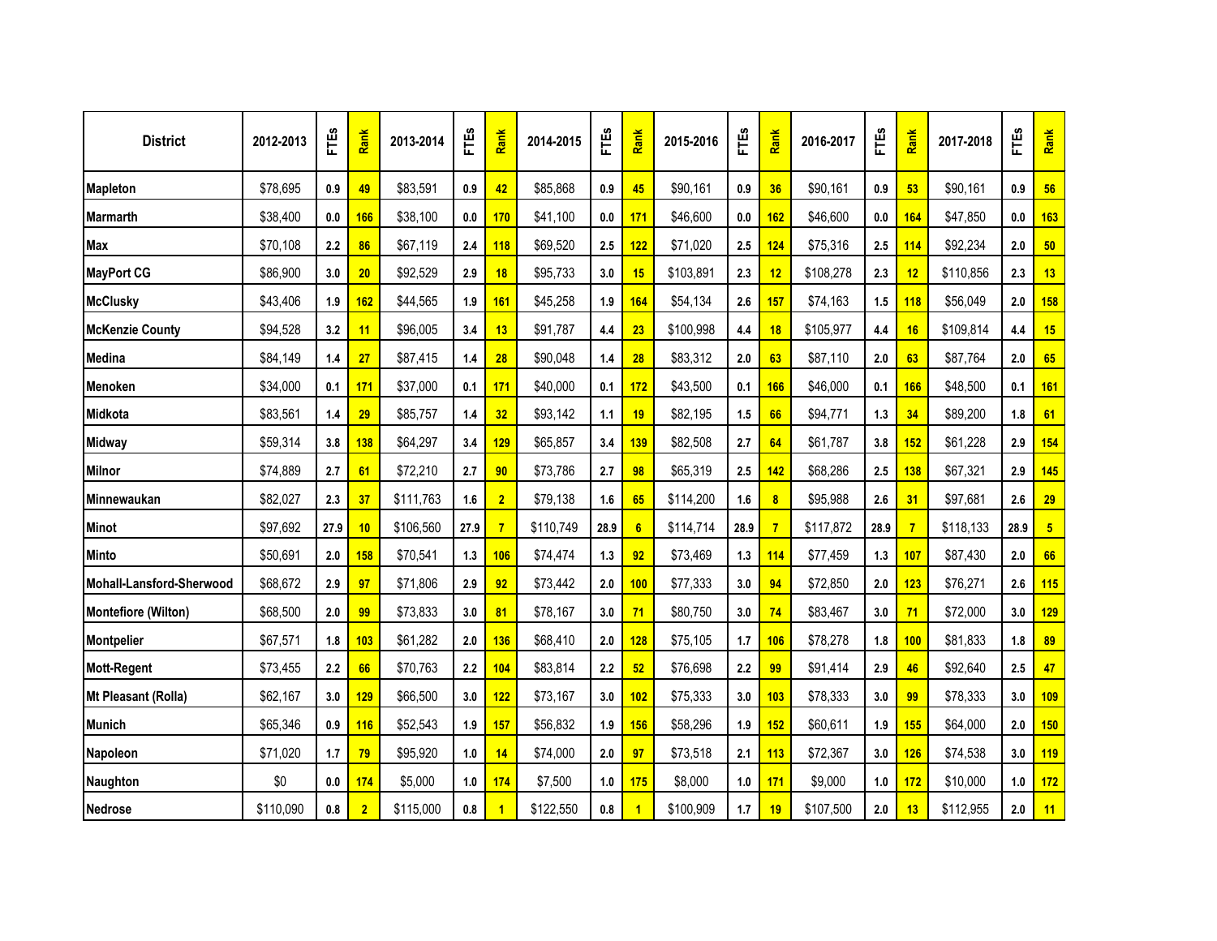| <b>District</b>            | 2012-2013 | FTES | Rank           | 2013-2014 | FTES | Rank           | 2014-2015 | FTÉS | Rank           | 2015-2016 | FTES    | Rank | 2016-2017 | ΕĨ   | Rank           | 2017-2018 | FTES | Rank           |
|----------------------------|-----------|------|----------------|-----------|------|----------------|-----------|------|----------------|-----------|---------|------|-----------|------|----------------|-----------|------|----------------|
| <b>Mapleton</b>            | \$78,695  | 0.9  | 49             | \$83,591  | 0.9  | 42             | \$85,868  | 0.9  | 45             | \$90,161  | 0.9     | 36   | \$90,161  | 0.9  | 53             | \$90,161  | 0.9  | 56             |
| <b>Marmarth</b>            | \$38,400  | 0.0  | 166            | \$38,100  | 0.0  | 170            | \$41,100  | 0.0  | 171            | \$46,600  | 0.0     | 162  | \$46,600  | 0.0  | 164            | \$47,850  | 0.0  | 163            |
| <b>Max</b>                 | \$70,108  | 2.2  | 86             | \$67,119  | 2.4  | 118            | \$69,520  | 2.5  | 122            | \$71,020  | 2.5     | 124  | \$75,316  | 2.5  | 114            | \$92,234  | 2.0  | 50             |
| <b>MayPort CG</b>          | \$86,900  | 3.0  | 20             | \$92,529  | 2.9  | 18             | \$95,733  | 3.0  | 15             | \$103,891 | 2.3     | 12   | \$108,278 | 2.3  | 12             | \$110,856 | 2.3  | 13             |
| <b>McClusky</b>            | \$43,406  | 1.9  | 162            | \$44,565  | 1.9  | 161            | \$45,258  | 1.9  | 164            | \$54,134  | 2.6     | 157  | \$74,163  | 1.5  | 118            | \$56,049  | 2.0  | 158            |
| <b>McKenzie County</b>     | \$94,528  | 3.2  | 11             | \$96,005  | 3.4  | 13             | \$91,787  | 4.4  | 23             | \$100,998 | $4.4\,$ | 18   | \$105,977 | 4.4  | 16             | \$109,814 | 4.4  | 15             |
| Medina                     | \$84,149  | 1.4  | 27             | \$87,415  | 1.4  | 28             | \$90,048  | 1.4  | 28             | \$83,312  | 2.0     | 63   | \$87,110  | 2.0  | 63             | \$87,764  | 2.0  | 65             |
| <b>Menoken</b>             | \$34,000  | 0.1  | 171            | \$37,000  | 0.1  | 171            | \$40,000  | 0.1  | 172            | \$43,500  | 0.1     | 166  | \$46,000  | 0.1  | 166            | \$48,500  | 0.1  | <b>161</b>     |
| Midkota                    | \$83,561  | 1.4  | 29             | \$85,757  | 1.4  | 32             | \$93,142  | 1.1  | 19             | \$82,195  | 1.5     | 66   | \$94,771  | 1.3  | 34             | \$89,200  | 1.8  | 61             |
| <b>Midway</b>              | \$59,314  | 3.8  | 138            | \$64,297  | 3.4  | <b>129</b>     | \$65,857  | 3.4  | 139            | \$82,508  | 2.7     | 64   | \$61,787  | 3.8  | 152            | \$61,228  | 2.9  | 154            |
| <b>Milnor</b>              | \$74,889  | 2.7  | 61             | \$72,210  | 2.7  | 90             | \$73,786  | 2.7  | 98             | \$65,319  | 2.5     | 142  | \$68,286  | 2.5  | 138            | \$67,321  | 2.9  | 145            |
| Minnewaukan                | \$82,027  | 2.3  | 37             | \$111,763 | 1.6  | 2 <sub>1</sub> | \$79,138  | 1.6  | 65             | \$114,200 | 1.6     | 8    | \$95,988  | 2.6  | 31             | \$97,681  | 2.6  | 29             |
| <b>Minot</b>               | \$97,692  | 27.9 | 10             | \$106,560 | 27.9 | $\overline{7}$ | \$110,749 | 28.9 | $6\phantom{1}$ | \$114,714 | 28.9    |      | \$117,872 | 28.9 | $\overline{7}$ | \$118,133 | 28.9 | 5 <sub>5</sub> |
| <b>Minto</b>               | \$50,691  | 2.0  | <b>158</b>     | \$70,541  | 1.3  | <b>106</b>     | \$74,474  | 1.3  | 92             | \$73,469  | 1.3     | 114  | \$77,459  | 1.3  | 107            | \$87,430  | 2.0  | 66             |
| Mohall-Lansford-Sherwood   | \$68,672  | 2.9  | 97             | \$71,806  | 2.9  | 92             | \$73,442  | 2.0  | 100            | \$77,333  | 3.0     | 94   | \$72,850  | 2.0  | 123            | \$76,271  | 2.6  | 115            |
| <b>Montefiore (Wilton)</b> | \$68,500  | 2.0  | 99             | \$73,833  | 3.0  | 81             | \$78,167  | 3.0  | 71             | \$80,750  | 3.0     | 74   | \$83,467  | 3.0  | 71             | \$72,000  | 3.0  | 129            |
| <b>Montpelier</b>          | \$67,571  | 1.8  | 103            | \$61,282  | 2.0  | 136            | \$68,410  | 2.0  | 128            | \$75,105  | 1.7     | 106  | \$78,278  | 1.8  | 100            | \$81,833  | 1.8  | 89             |
| <b>Mott-Regent</b>         | \$73,455  | 2.2  | 66             | \$70,763  | 2.2  | 104            | \$83,814  | 2.2  | 52             | \$76,698  | 2.2     | 99   | \$91,414  | 2.9  | 46             | \$92,640  | 2.5  | 47             |
| Mt Pleasant (Rolla)        | \$62,167  | 3.0  | 129            | \$66,500  | 3.0  | 122            | \$73,167  | 3.0  | 102            | \$75,333  | 3.0     | 103  | \$78,333  | 3.0  | 99             | \$78,333  | 3.0  | 109            |
| <b>Munich</b>              | \$65,346  | 0.9  | <b>116</b>     | \$52,543  | 1.9  | 157            | \$56,832  | 1.9  | <b>156</b>     | \$58,296  | 1.9     | 152  | \$60,611  | 1.9  | 155            | \$64,000  | 2.0  | 150            |
| Napoleon                   | \$71,020  | 1.7  | 79             | \$95,920  | 1.0  | 14             | \$74,000  | 2.0  | 97             | \$73,518  | 2.1     | 113  | \$72,367  | 3.0  | 126            | \$74,538  | 3.0  | 119            |
| Naughton                   | \$0       | 0.0  | 174            | \$5,000   | 1.0  | 174            | \$7,500   | 1.0  | <b>175</b>     | \$8,000   | 1.0     | 171  | \$9,000   | 1.0  | 172            | \$10,000  | 1.0  | 172            |
| Nedrose                    | \$110,090 | 0.8  | $\overline{2}$ | \$115,000 | 0.8  |                | \$122,550 | 0.8  | 1              | \$100,909 | 1.7     | 19   | \$107,500 | 2.0  | 13             | \$112,955 | 2.0  | 11             |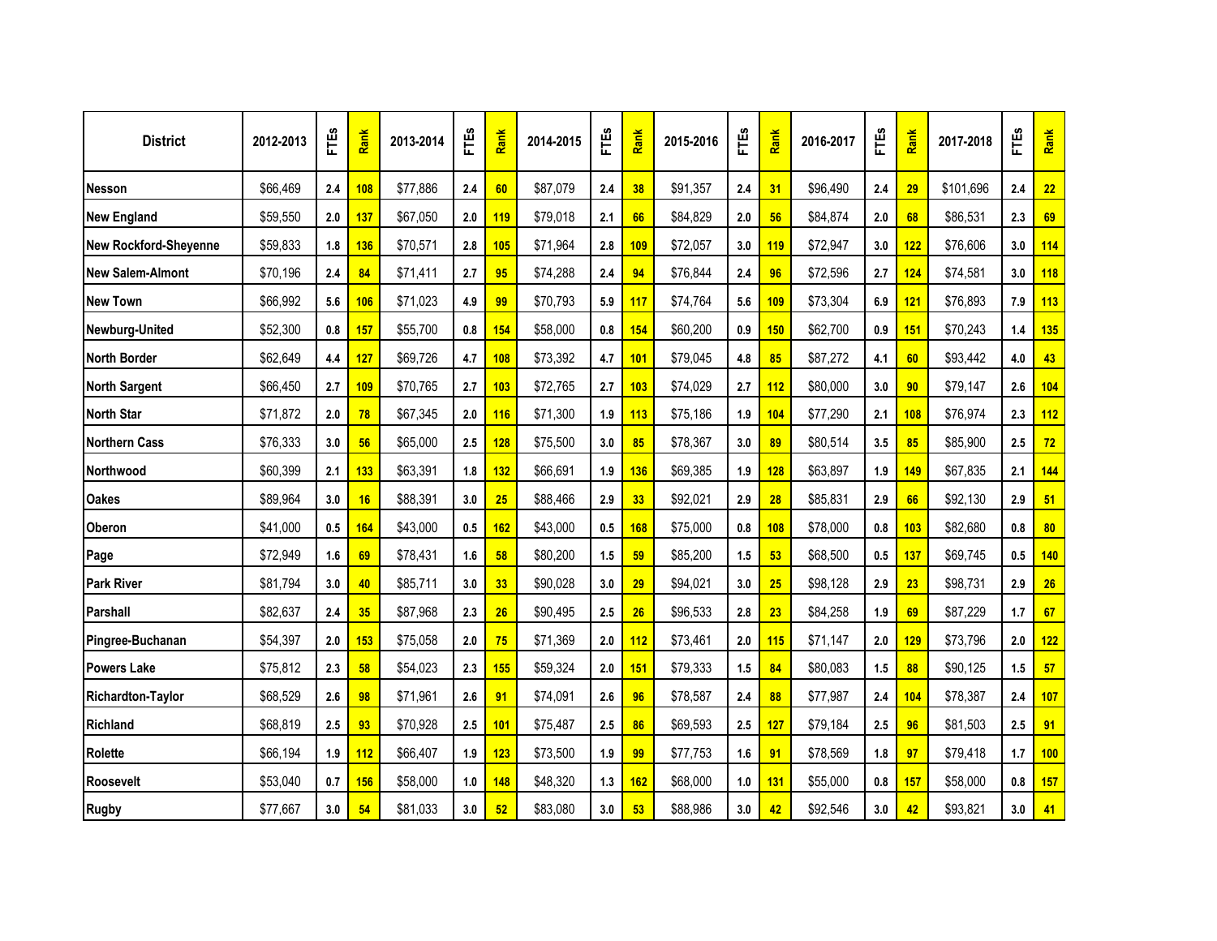| <b>District</b>          | 2012-2013 | FTES | Rank | 2013-2014 | FTES | Rank | 2014-2015 | FTES    | Rank | 2015-2016 | FTES  | Rank | 2016-2017 | FTES | Rank | 2017-2018 | FTES | Rank |
|--------------------------|-----------|------|------|-----------|------|------|-----------|---------|------|-----------|-------|------|-----------|------|------|-----------|------|------|
| <b>Nesson</b>            | \$66,469  | 2.4  | 108  | \$77,886  | 2.4  | 60   | \$87,079  | 2.4     | 38   | \$91,357  | 2.4   | 31   | \$96,490  | 2.4  | 29   | \$101,696 | 2.4  | 22   |
| <b>New England</b>       | \$59,550  | 2.0  | 137  | \$67,050  | 2.0  | 119  | \$79,018  | 2.1     | 66   | \$84,829  | 2.0   | 56   | \$84,874  | 2.0  | 68   | \$86,531  | 2.3  | 69   |
| New Rockford-Sheyenne    | \$59,833  | 1.8  | 136  | \$70,571  | 2.8  | 105  | \$71,964  | 2.8     | 109  | \$72,057  | 3.0   | 119  | \$72,947  | 3.0  | 122  | \$76,606  | 3.0  | 114  |
| New Salem-Almont         | \$70,196  | 2.4  | 84   | \$71,411  | 2.7  | 95   | \$74,288  | 2.4     | 94   | \$76,844  | 2.4   | 96   | \$72,596  | 2.7  | 124  | \$74,581  | 3.0  | 118  |
| <b>New Town</b>          | \$66,992  | 5.6  | 106  | \$71,023  | 4.9  | 99   | \$70,793  | 5.9     | 117  | \$74,764  | 5.6   | 109  | \$73,304  | 6.9  | 121  | \$76,893  | 7.9  | 113  |
| Newburg-United           | \$52,300  | 0.8  | 157  | \$55,700  | 0.8  | 154  | \$58,000  | 0.8     | 154  | \$60,200  | 0.9   | 150  | \$62,700  | 0.9  | 151  | \$70,243  | 1.4  | 135  |
| <b>North Border</b>      | \$62,649  | 4.4  | 127  | \$69,726  | 4.7  | 108  | \$73,392  | 4.7     | 101  | \$79,045  | 4.8   | 85   | \$87,272  | 4.1  | 60   | \$93,442  | 4.0  | 43   |
| <b>North Sargent</b>     | \$66,450  | 2.7  | 109  | \$70,765  | 2.7  | 103  | \$72,765  | 2.7     | 103  | \$74,029  | 2.7   | 112  | \$80,000  | 3.0  | 90   | \$79,147  | 2.6  | 104  |
| <b>North Star</b>        | \$71,872  | 2.0  | 78   | \$67,345  | 2.0  | 116  | \$71,300  | 1.9     | 113  | \$75,186  | 1.9   | 104  | \$77,290  | 2.1  | 108  | \$76,974  | 2.3  | 112  |
| <b>Northern Cass</b>     | \$76,333  | 3.0  | 56   | \$65,000  | 2.5  | 128  | \$75,500  | 3.0     | 85   | \$78,367  | 3.0   | 89   | \$80,514  | 3.5  | 85   | \$85,900  | 2.5  | 72   |
| <b>Northwood</b>         | \$60,399  | 2.1  | 133  | \$63,391  | 1.8  | 132  | \$66,691  | 1.9     | 136  | \$69,385  | 1.9   | 128  | \$63,897  | 1.9  | 149  | \$67,835  | 2.1  | 144  |
| <b>Oakes</b>             | \$89,964  | 3.0  | 16   | \$88,391  | 3.0  | 25   | \$88,466  | 2.9     | 33   | \$92,021  | 2.9   | 28   | \$85,831  | 2.9  | 66   | \$92,130  | 2.9  | 51   |
| <b>Oberon</b>            | \$41,000  | 0.5  | 164  | \$43,000  | 0.5  | 162  | \$43,000  | 0.5     | 168  | \$75,000  | 0.8   | 108  | \$78,000  | 0.8  | 103  | \$82,680  | 0.8  | 80   |
| Page                     | \$72,949  | 1.6  | 69   | \$78,431  | 1.6  | 58   | \$80,200  | 1.5     | 59   | \$85,200  | 1.5   | 53   | \$68,500  | 0.5  | 137  | \$69,745  | 0.5  | 140  |
| <b>Park River</b>        | \$81,794  | 3.0  | 40   | \$85,711  | 3.0  | 33   | \$90,028  | 3.0     | 29   | \$94,021  | 3.0   | 25   | \$98,128  | 2.9  | 23   | \$98,731  | 2.9  | 26   |
| Parshall                 | \$82,637  | 2.4  | 35   | \$87,968  | 2.3  | 26   | \$90,495  | 2.5     | 26   | \$96,533  | 2.8   | 23   | \$84,258  | 1.9  | 69   | \$87,229  | 1.7  | 67   |
| Pingree-Buchanan         | \$54,397  | 2.0  | 153  | \$75,058  | 2.0  | 75   | \$71,369  | $2.0\,$ | 112  | \$73,461  | 2.0   | 115  | \$71,147  | 2.0  | 129  | \$73,796  | 2.0  | 122  |
| <b>Powers Lake</b>       | \$75,812  | 2.3  | 58   | \$54,023  | 2.3  | 155  | \$59,324  | 2.0     | 151  | \$79,333  | 1.5   | 84   | \$80,083  | 1.5  | 88   | \$90,125  | 1.5  | 57   |
| <b>Richardton-Taylor</b> | \$68,529  | 2.6  | 98   | \$71,961  | 2.6  | 91   | \$74,091  | 2.6     | 96   | \$78,587  | $2.4$ | 88   | \$77,987  | 2.4  | 104  | \$78,387  | 2.4  | 107  |
| Richland                 | \$68,819  | 2.5  | 93   | \$70,928  | 2.5  | 101  | \$75,487  | 2.5     | 86   | \$69,593  | 2.5   | 127  | \$79,184  | 2.5  | 96   | \$81,503  | 2.5  | 91   |
| Rolette                  | \$66,194  | 1.9  | 112  | \$66,407  | 1.9  | 123  | \$73,500  | 1.9     | 99   | \$77,753  | 1.6   | 91   | \$78,569  | 1.8  | 97   | \$79,418  | 1.7  | 100  |
| Roosevelt                | \$53,040  | 0.7  | 156  | \$58,000  | 1.0  | 148  | \$48,320  | 1.3     | 162  | \$68,000  | 1.0   | 131  | \$55,000  | 0.8  | 157  | \$58,000  | 0.8  | 157  |
| <b>Rugby</b>             | \$77,667  | 3.0  | 54   | \$81,033  | 3.0  | 52   | \$83,080  | 3.0     | 53   | \$88,986  | 3.0   | 42   | \$92,546  | 3.0  | 42   | \$93,821  | 3.0  | 41   |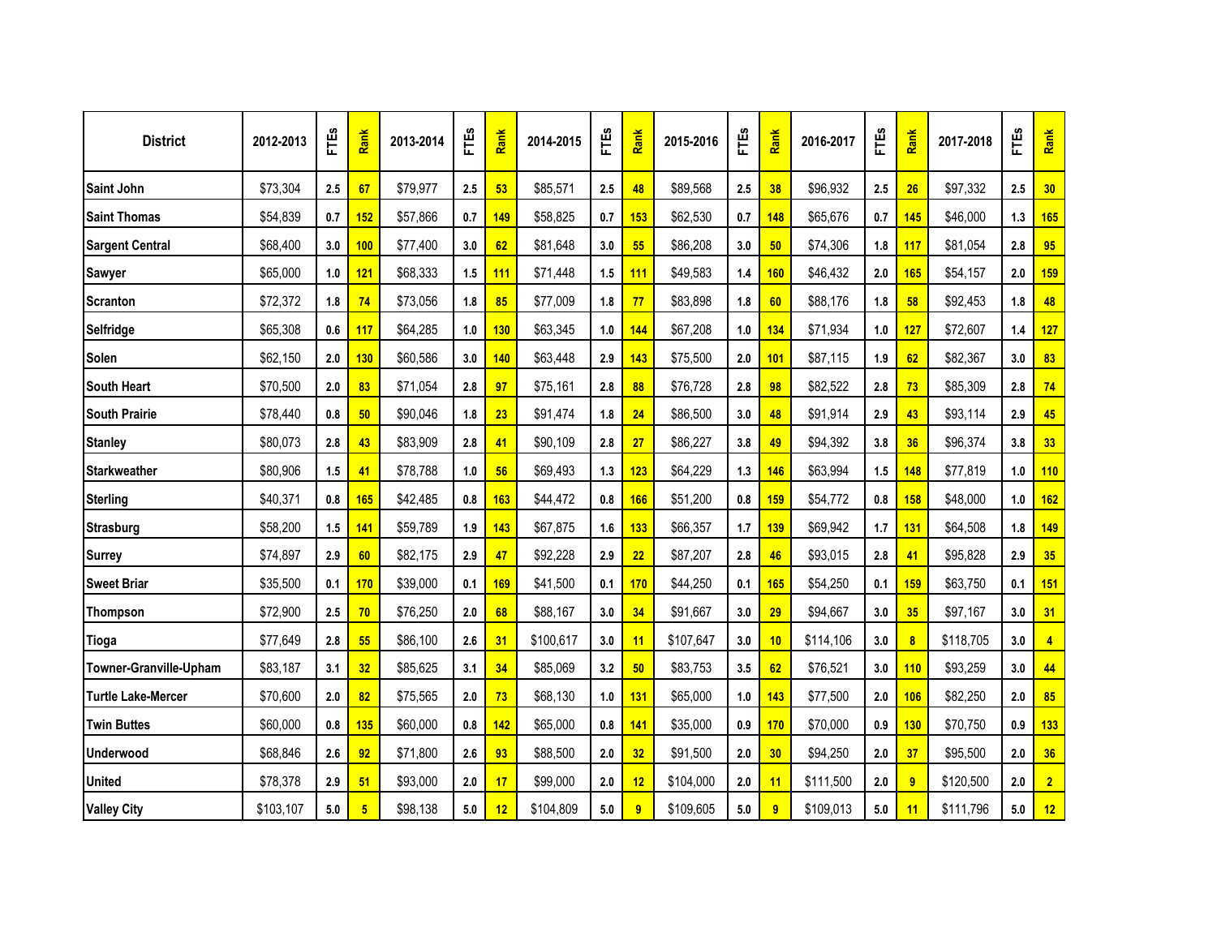| <b>District</b>           | 2012-2013 | FTES | Rank            | 2013-2014 | FTES | Rank            | 2014-2015 | FTES | Rank           | 2015-2016 | FTES | Rank            | 2016-2017 | FTEs    | Rank                    | 2017-2018 | FTES | Rank           |
|---------------------------|-----------|------|-----------------|-----------|------|-----------------|-----------|------|----------------|-----------|------|-----------------|-----------|---------|-------------------------|-----------|------|----------------|
| Saint John                | \$73,304  | 2.5  | 67              | \$79,977  | 2.5  | 53              | \$85,571  | 2.5  | 48             | \$89,568  | 2.5  | 38              | \$96,932  | 2.5     | 26                      | \$97,332  | 2.5  | 30             |
| <b>Saint Thomas</b>       | \$54,839  | 0.7  | 152             | \$57,866  | 0.7  | 149             | \$58,825  | 0.7  | 153            | \$62,530  | 0.7  | 148             | \$65,676  | 0.7     | 145                     | \$46,000  | 1.3  | 165            |
| <b>Sargent Central</b>    | \$68,400  | 3.0  | 100             | \$77,400  | 3.0  | 62              | \$81,648  | 3.0  | 55             | \$86,208  | 3.0  | 50              | \$74,306  | 1.8     | 117                     | \$81,054  | 2.8  | 95             |
| <b>Sawyer</b>             | \$65,000  | 1.0  | 121             | \$68,333  | 1.5  | 111             | \$71,448  | 1.5  | 111            | \$49,583  | 1.4  | 160             | \$46,432  | 2.0     | 165                     | \$54,157  | 2.0  | 159            |
| <b>Scranton</b>           | \$72,372  | 1.8  | 74              | \$73,056  | 1.8  | 85              | \$77,009  | 1.8  | 77             | \$83,898  | 1.8  | 60              | \$88,176  | 1.8     | 58                      | \$92,453  | 1.8  | 48             |
| <b>Selfridge</b>          | \$65,308  | 0.6  | 117             | \$64,285  | 1.0  | 130             | \$63,345  | 1.0  | 144            | \$67,208  | 1.0  | 134             | \$71,934  | 1.0     | 127                     | \$72,607  | 1.4  | 127            |
| <b>Solen</b>              | \$62,150  | 2.0  | 130             | \$60,586  | 3.0  | 140             | \$63,448  | 2.9  | 143            | \$75,500  | 2.0  | 101             | \$87,115  | 1.9     | 62                      | \$82,367  | 3.0  | 83             |
| <b>South Heart</b>        | \$70,500  | 2.0  | 83              | \$71,054  | 2.8  | 97              | \$75,161  | 2.8  | 88             | \$76,728  | 2.8  | 98              | \$82,522  | 2.8     | 73                      | \$85,309  | 2.8  | 74             |
| <b>South Prairie</b>      | \$78,440  | 0.8  | 50              | \$90,046  | 1.8  | 23              | \$91,474  | 1.8  | 24             | \$86,500  | 3.0  | 48              | \$91,914  | 2.9     | 43                      | \$93,114  | 2.9  | 45             |
| <b>Stanley</b>            | \$80,073  | 2.8  | 43              | \$83,909  | 2.8  | 41              | \$90,109  | 2.8  | 27             | \$86,227  | 3.8  | 49              | \$94,392  | 3.8     | 36                      | \$96,374  | 3.8  | 33             |
| <b>Starkweather</b>       | \$80,906  | 1.5  | 41              | \$78,788  | 1.0  | 56              | \$69,493  | 1.3  | 123            | \$64,229  | 1.3  | 146             | \$63,994  | 1.5     | 148                     | \$77,819  | 1.0  | 110            |
| <b>Sterling</b>           | \$40,371  | 0.8  | 165             | \$42,485  | 0.8  | 163             | \$44,472  | 0.8  | 166            | \$51,200  | 0.8  | 159             | \$54,772  | $0.8\,$ | 158                     | \$48,000  | 1.0  | <b>162</b>     |
| <b>Strasburg</b>          | \$58,200  | 1.5  | <b>141</b>      | \$59,789  | 1.9  | 143             | \$67,875  | 1.6  | 133            | \$66,357  | 1.7  | 139             | \$69,942  | 1.7     | 131                     | \$64,508  | 1.8  | 149            |
| <b>Surrey</b>             | \$74,897  | 2.9  | 60              | \$82,175  | 2.9  | 47              | \$92,228  | 2.9  | 22             | \$87,207  | 2.8  | 46              | \$93,015  | 2.8     | 41                      | \$95,828  | 2.9  | 35             |
| <b>Sweet Briar</b>        | \$35,500  | 0.1  | 170             | \$39,000  | 0.1  | 169             | \$41,500  | 0.1  | 170            | \$44,250  | 0.1  | 165             | \$54,250  | 0.1     | 159                     | \$63,750  | 0.1  | 151            |
| Thompson                  | \$72,900  | 2.5  | 70              | \$76,250  | 2.0  | 68              | \$88,167  | 3.0  | 34             | \$91,667  | 3.0  | 29              | \$94,667  | 3.0     | 35                      | \$97,167  | 3.0  | 31             |
| Tioga                     | \$77,649  | 2.8  | 55              | \$86,100  | 2.6  | 31              | \$100,617 | 3.0  | 11             | \$107,647 | 3.0  | 10              | \$114,106 | 3.0     | $\overline{\mathbf{8}}$ | \$118,705 | 3.0  | $\overline{4}$ |
| Towner-Granville-Upham    | \$83,187  | 3.1  | 32              | \$85,625  | 3.1  | 34              | \$85,069  | 3.2  | 50             | \$83,753  | 3.5  | 62              | \$76,521  | 3.0     | 110                     | \$93,259  | 3.0  | 44             |
| <b>Turtle Lake-Mercer</b> | \$70,600  | 2.0  | 82              | \$75,565  | 2.0  | 73              | \$68,130  | 1.0  | 131            | \$65,000  | 1.0  | 143             | \$77,500  | 2.0     | 106                     | \$82,250  | 2.0  | 85             |
| <b>Twin Buttes</b>        | \$60,000  | 0.8  | 135             | \$60,000  | 0.8  | 142             | \$65,000  | 0.8  | 141            | \$35,000  | 0.9  | 170             | \$70,000  | 0.9     | 130                     | \$70,750  | 0.9  | 133            |
| Underwood                 | \$68,846  | 2.6  | 92              | \$71,800  | 2.6  | 93              | \$88,500  | 2.0  | 32             | \$91,500  | 2.0  | 30 <sub>2</sub> | \$94,250  | 2.0     | 37                      | \$95,500  | 2.0  | 36             |
| <b>United</b>             | \$78,378  | 2.9  | 51              | \$93,000  | 2.0  | 17              | \$99,000  | 2.0  | 12             | \$104,000 | 2.0  | 11              | \$111,500 | 2.0     | 9                       | \$120,500 | 2.0  | $\overline{2}$ |
| <b>Valley City</b>        | \$103,107 | 5.0  | $5\phantom{.0}$ | \$98,138  | 5.0  | 12 <sup>2</sup> | \$104,809 | 5.0  | $\overline{9}$ | \$109,605 | 5.0  | 9               | \$109,013 | 5.0     | 11                      | \$111,796 | 5.0  | 12             |